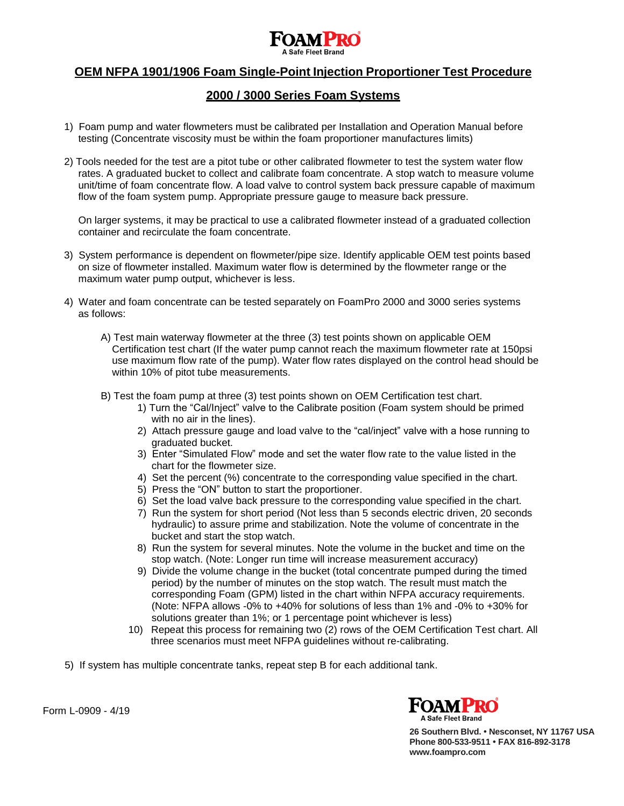

# **OEM NFPA 1901/1906 Foam Single-Point Injection Proportioner Test Procedure**

# **2000 / 3000 Series Foam Systems**

- 1) Foam pump and water flowmeters must be calibrated per Installation and Operation Manual before testing (Concentrate viscosity must be within the foam proportioner manufactures limits)
- 2) Tools needed for the test are a pitot tube or other calibrated flowmeter to test the system water flow rates. A graduated bucket to collect and calibrate foam concentrate. A stop watch to measure volume unit/time of foam concentrate flow. A load valve to control system back pressure capable of maximum flow of the foam system pump. Appropriate pressure gauge to measure back pressure.

On larger systems, it may be practical to use a calibrated flowmeter instead of a graduated collection container and recirculate the foam concentrate.

- 3) System performance is dependent on flowmeter/pipe size. Identify applicable OEM test points based on size of flowmeter installed. Maximum water flow is determined by the flowmeter range or the maximum water pump output, whichever is less.
- 4) Water and foam concentrate can be tested separately on FoamPro 2000 and 3000 series systems as follows:
	- A) Test main waterway flowmeter at the three (3) test points shown on applicable OEM Certification test chart (If the water pump cannot reach the maximum flowmeter rate at 150psi use maximum flow rate of the pump). Water flow rates displayed on the control head should be within 10% of pitot tube measurements.
	- B) Test the foam pump at three (3) test points shown on OEM Certification test chart.
		- 1) Turn the "Cal/Inject" valve to the Calibrate position (Foam system should be primed with no air in the lines).
		- 2) Attach pressure gauge and load valve to the "cal/inject" valve with a hose running to graduated bucket.
		- 3) Enter "Simulated Flow" mode and set the water flow rate to the value listed in the chart for the flowmeter size.
		- 4) Set the percent (%) concentrate to the corresponding value specified in the chart.
		- 5) Press the "ON" button to start the proportioner.
		- 6) Set the load valve back pressure to the corresponding value specified in the chart.
		- 7) Run the system for short period (Not less than 5 seconds electric driven, 20 seconds hydraulic) to assure prime and stabilization. Note the volume of concentrate in the bucket and start the stop watch.
		- 8) Run the system for several minutes. Note the volume in the bucket and time on the stop watch. (Note: Longer run time will increase measurement accuracy)
		- 9) Divide the volume change in the bucket (total concentrate pumped during the timed period) by the number of minutes on the stop watch. The result must match the corresponding Foam (GPM) listed in the chart within NFPA accuracy requirements. (Note: NFPA allows -0% to +40% for solutions of less than 1% and -0% to +30% for solutions greater than 1%; or 1 percentage point whichever is less)
		- 10) Repeat this process for remaining two (2) rows of the OEM Certification Test chart. All three scenarios must meet NFPA guidelines without re-calibrating.
- 5) If system has multiple concentrate tanks, repeat step B for each additional tank.



**26 Southern Blvd. • Nesconset, NY 11767 USA Phone 800-533-9511 • FAX 816-892-3178 [www.foampro.com](http://www.foampro.com/)**

Form L-0909 - 4/19